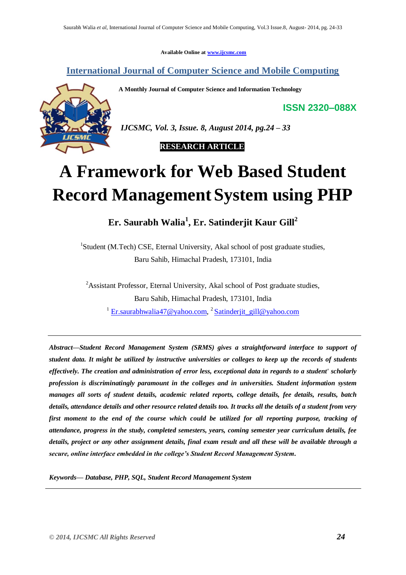**Available Online at [www.ijcsmc.com](http://www.ijcsmc.com/)**

# **International Journal of Computer Science and Mobile Computing**

**A Monthly Journal of Computer Science and Information Technology**

**ISSN 2320–088X**



*IJCSMC, Vol. 3, Issue. 8, August 2014, pg.24 – 33*

 **RESEARCH ARTICLE**

# **A Framework for Web Based Student Record Management System using PHP**

**Er. Saurabh Walia<sup>1</sup> , Er. Satinderjit Kaur Gill<sup>2</sup>**

<sup>1</sup>Student (M.Tech) CSE, Eternal University, Akal school of post graduate studies, Baru Sahib, Himachal Pradesh, 173101, India

<sup>2</sup>Assistant Professor, Eternal University, Akal school of Post graduate studies, Baru Sahib, Himachal Pradesh, 173101, India <sup>1</sup> [Er.saurabhwalia47@yahoo.com,](mailto:Er.saurabhwalia47@yahoo.com) <sup>2</sup> [Satinderjit\\_gill@yahoo.com](mailto:Satinderjit_gill@yahoo.com)

*Abstract—Student Record Management System (SRMS) gives a straightforward interface to support of student data. It might be utilized by instructive universities or colleges to keep up the records of students effectively. The creation and administration of error less, exceptional data in regards to a student' scholarly profession is discriminatingly paramount in the colleges and in universities. Student information system manages all sorts of student details, academic related reports, college details, fee details, results, batch details, attendance details and other resource related details too. It tracks all the details of a student from very first moment to the end of the course which could be utilized for all reporting purpose, tracking of attendance, progress in the study, completed semesters, years, coming semester year curriculum details, fee details, project or any other assignment details, final exam result and all these will be available through a secure, online interface embedded in the college's Student Record Management System.*

*Keywords— Database, PHP, SQL, Student Record Management System*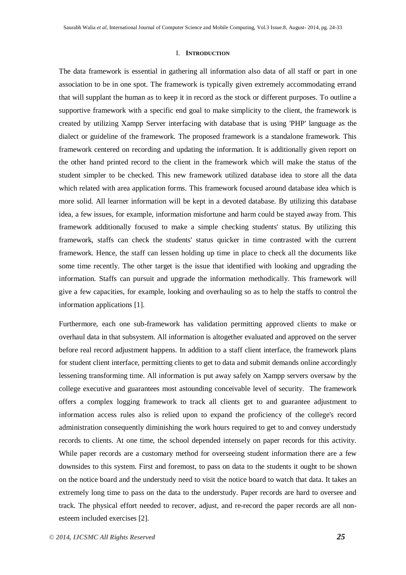#### I. **INTRODUCTION**

The data framework is essential in gathering all information also data of all staff or part in one association to be in one spot. The framework is typically given extremely accommodating errand that will supplant the human as to keep it in record as the stock or different purposes. To outline a supportive framework with a specific end goal to make simplicity to the client, the framework is created by utilizing Xampp Server interfacing with database that is using 'PHP' language as the dialect or guideline of the framework. The proposed framework is a standalone framework. This framework centered on recording and updating the information. It is additionally given report on the other hand printed record to the client in the framework which will make the status of the student simpler to be checked. This new framework utilized database idea to store all the data which related with area application forms. This framework focused around database idea which is more solid. All learner information will be kept in a devoted database. By utilizing this database idea, a few issues, for example, information misfortune and harm could be stayed away from. This framework additionally focused to make a simple checking students' status. By utilizing this framework, staffs can check the students' status quicker in time contrasted with the current framework. Hence, the staff can lessen holding up time in place to check all the documents like some time recently. The other target is the issue that identified with looking and upgrading the information. Staffs can pursuit and upgrade the information methodically. This framework will give a few capacities, for example, looking and overhauling so as to help the staffs to control the information applications [1].

Furthermore, each one sub-framework has validation permitting approved clients to make or overhaul data in that subsystem. All information is altogether evaluated and approved on the server before real record adjustment happens. In addition to a staff client interface, the framework plans for student client interface, permitting clients to get to data and submit demands online accordingly lessening transforming time. All information is put away safely on Xampp servers oversaw by the college executive and guarantees most astounding conceivable level of security. The framework offers a complex logging framework to track all clients get to and guarantee adjustment to information access rules also is relied upon to expand the proficiency of the college's record administration consequently diminishing the work hours required to get to and convey understudy records to clients. At one time, the school depended intensely on paper records for this activity. While paper records are a customary method for overseeing student information there are a few downsides to this system. First and foremost, to pass on data to the students it ought to be shown on the notice board and the understudy need to visit the notice board to watch that data. It takes an extremely long time to pass on the data to the understudy. Paper records are hard to oversee and track. The physical effort needed to recover, adjust, and re-record the paper records are all nonesteem included exercises [2].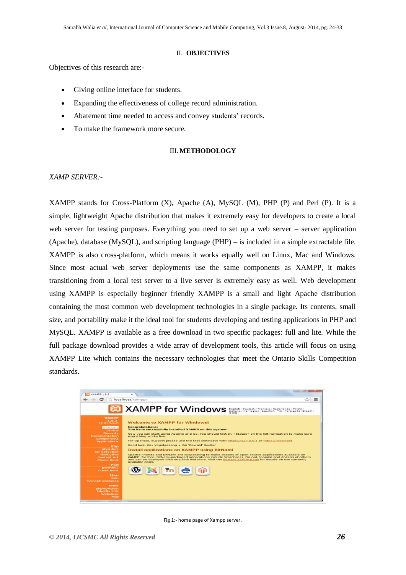#### II. **OBJECTIVES**

Objectives of this research are:-

- Giving online interface for students.
- Expanding the effectiveness of college record administration.
- Abatement time needed to access and convey students' records.
- To make the framework more secure.

#### III. **METHODOLOGY**

#### *XAMP SERVER:-*

XAMPP stands for Cross-Platform (X), Apache (A), MySQL (M), PHP (P) and Perl (P). It is a simple, lightweight Apache distribution that makes it extremely easy for developers to create a local web server for testing purposes. Everything you need to set up a web server – server application (Apache), database (MySQL), and scripting language (PHP) – is included in a simple extractable file. XAMPP is also cross-platform, which means it works equally well on Linux, Mac and Windows. Since most actual web server deployments use the same components as XAMPP, it makes transitioning from a local test server to a live server is extremely easy as well. Web development using XAMPP is especially beginner friendly XAMPP is a small and light Apache distribution containing the most common web development technologies in a single package. Its contents, small size, and portability make it the ideal tool for students developing and testing applications in PHP and MySQL. XAMPP is available as a free download in two specific packages: full and lite. While the full package download provides a wide array of development tools, this article will focus on using XAMPP Lite which contains the necessary technologies that meet the Ontario Skills Competition standards.



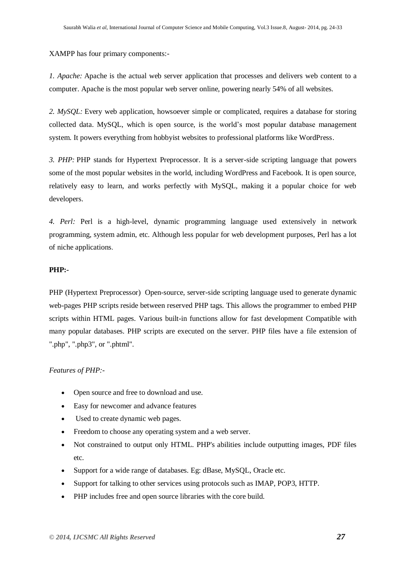XAMPP has four primary components:-

*1. Apache:* Apache is the actual web server application that processes and delivers web content to a computer. Apache is the most popular web server online, powering nearly 54% of all websites.

*2. MySQL:* Every web application, howsoever simple or complicated, requires a database for storing collected data. MySQL, which is open source, is the world's most popular database management system. It powers everything from hobbyist websites to professional platforms like WordPress.

*3. PHP:* PHP stands for Hypertext Preprocessor. It is a server-side scripting language that powers some of the most popular websites in the world, including WordPress and Facebook. It is open source, relatively easy to learn, and works perfectly with MySQL, making it a popular choice for web developers.

*4. Perl:* Perl is a high-level, dynamic programming language used extensively in network programming, system admin, etc. Although less popular for web development purposes, Perl has a lot of niche applications.

#### **PHP:-**

PHP (Hypertext Preprocessor) Open-source, server-side scripting language used to generate dynamic web-pages PHP scripts reside between reserved PHP tags. This allows the programmer to embed PHP scripts within HTML pages. Various built-in functions allow for fast development Compatible with many popular databases. PHP scripts are executed on the server. PHP files have a file extension of ".php", ".php3", or ".phtml".

#### *Features of PHP:-*

- Open source and free to download and use.
- Easy for newcomer and advance features
- Used to create dynamic web pages.
- Freedom to choose any operating system and a web server.
- Not constrained to output only HTML. PHP's abilities include outputting images, PDF files etc.
- Support for a wide range of databases. Eg: dBase, MySQL, Oracle etc.
- Support for talking to other services using protocols such as IMAP, POP3, HTTP.
- PHP includes free and open source libraries with the core build.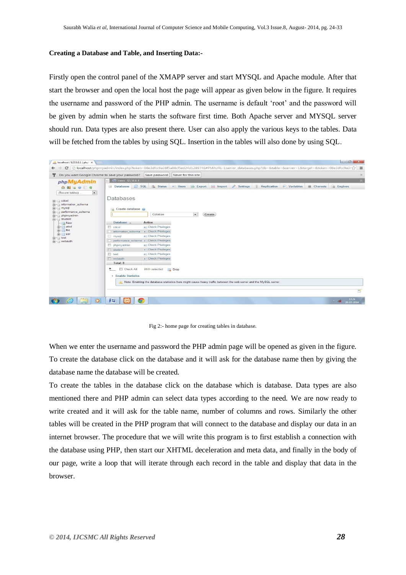#### **Creating a Database and Table, and Inserting Data:-**

Firstly open the control panel of the XMAPP server and start MYSQL and Apache module. After that start the browser and open the local host the page will appear as given below in the figure. It requires the username and password of the PHP admin. The username is default 'root' and the password will be given by admin when he starts the software first time. Both Apache server and MYSQL server should run. Data types are also present there. User can also apply the various keys to the tables. Data will be fetched from the tables by using SQL. Insertion in the tables will also done by using SQL.



Fig 2:- home page for creating tables in database.

When we enter the username and password the PHP admin page will be opened as given in the figure. To create the database click on the database and it will ask for the database name then by giving the database name the database will be created.

To create the tables in the database click on the database which is database. Data types are also mentioned there and PHP admin can select data types according to the need. We are now ready to write created and it will ask for the table name, number of columns and rows. Similarly the other tables will be created in the PHP program that will connect to the database and display our data in an internet browser. The procedure that we will write this program is to first establish a connection with the database using PHP, then start our XHTML deceleration and meta data, and finally in the body of our page, write a loop that will iterate through each record in the table and display that data in the browser.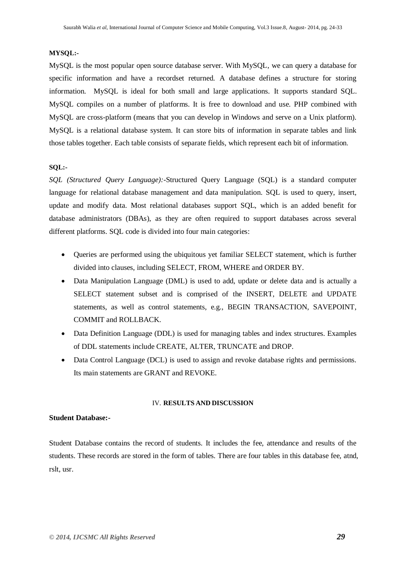#### **MYSQL:-**

MySQL is the most popular open source database server. With MySQL, we can query a database for specific information and have a recordset returned. A database defines a structure for storing information. MySQL is ideal for both small and large applications. It supports standard SQL. MySQL compiles on a number of platforms. It is free to download and use. PHP combined with MySQL are cross-platform (means that you can develop in Windows and serve on a Unix platform). MySQL is a relational database system. It can store bits of information in separate tables and link those tables together. Each table consists of separate fields*,* which represent each bit of information.

#### **SQL:-**

*SQL (Structured Query Language):-*Structured Query Language (SQL) is a standard computer language for relational database management and data manipulation. SQL is used to query, insert, update and modify data. Most relational databases support SQL, which is an added benefit for database administrators (DBAs), as they are often required to support databases across several different platforms. SQL code is divided into four main categories:

- Queries are performed using the ubiquitous yet familiar SELECT statement, which is further divided into clauses, including SELECT, FROM, WHERE and ORDER BY.
- Data Manipulation Language (DML) is used to add, update or delete data and is actually a SELECT statement subset and is comprised of the INSERT, DELETE and UPDATE statements, as well as control statements, e.g., BEGIN TRANSACTION, SAVEPOINT, COMMIT and ROLLBACK.
- Data Definition Language (DDL) is used for managing tables and index structures. Examples of DDL statements include CREATE, ALTER, TRUNCATE and DROP.
- Data Control Language (DCL) is used to assign and revoke database rights and permissions. Its main statements are GRANT and REVOKE.

#### IV. **RESULTS AND DISCUSSION**

#### **Student Database:-**

Student Database contains the record of students. It includes the fee, attendance and results of the students. These records are stored in the form of tables. There are four tables in this database fee, atnd, rslt, usr.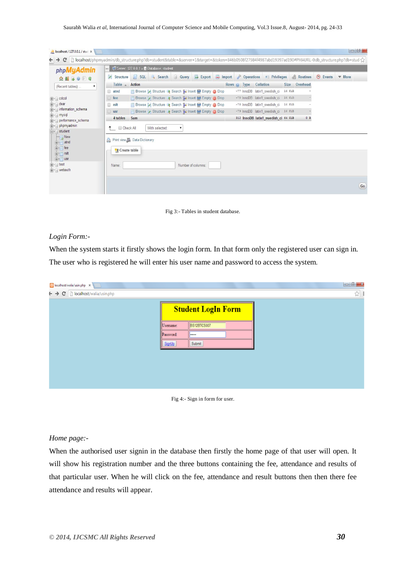|                                                           | $\leftarrow$          | Server: 127.0.0.1 » Database: student                |                                                     |                   |                                    |                                     |        |                             |          |                           |
|-----------------------------------------------------------|-----------------------|------------------------------------------------------|-----------------------------------------------------|-------------------|------------------------------------|-------------------------------------|--------|-----------------------------|----------|---------------------------|
| phpMyAdmin<br>$\Omega$ <b>E</b> BOIC                      | Structure<br>Table    | SQL Search Query<br>Action                           | $\rightarrow$ Export                                | $\implies$ Import | <b>D</b> Operations<br>Rows O Type | <b>a</b> Privileges<br>Collation    |        | & Routines<br>Size Overhead | S Events | $\blacktriangledown$ More |
| (Recent tables)<br>$\mathbf{v}$                           | $\Box$ atnd           |                                                      | Browse Structure & Search 3-i Insert B Empty @ Drop |                   |                                    | ~77 InnoDB latin1 swedish ci        | 16 KiB |                             |          |                           |
| $\blacksquare$ cdcol                                      | □ fee                 | Browse A Structure & Search 3: Insert Empty O Drop   |                                                     |                   |                                    | ~78 InnoDB latin1 swedish ci        | 16 KiB |                             |          |                           |
| <b>Fig. 1</b> dear                                        | $\Box$ rslt           | Browse M Structure & Search 3: Insert B Empty @ Drop |                                                     |                   |                                    | ~78 InnoDB latin1 swedish ci        | 16 KiB |                             |          |                           |
| information_schema                                        | $\Box$ usr            | Browse Structure & Search 3: Insert Empty O Drop     |                                                     |                   |                                    | ~79 InnoDB latin1 swedish ci 16 KiB |        |                             |          |                           |
| <b>F</b> - mysql<br>performance_schema                    | 4 tables              | Sum                                                  |                                                     |                   |                                    | 312 InnoDB latin1 swedish ci 64 KiB |        | 0B                          |          |                           |
| phpmyadmin<br>$-$ student<br>$\overline{\phantom{a}}$ New | Check All             | With selected:<br>A Print view 品 Data Dictionary     |                                                     |                   |                                    |                                     |        |                             |          |                           |
| <b>E</b> atnd<br><b>Table</b><br><b>Free</b> rsit         | <b>精 Create table</b> |                                                      |                                                     |                   |                                    |                                     |        |                             |          |                           |
| $+$ $+$ $usr$                                             | Name:                 |                                                      | Number of columns:                                  |                   |                                    |                                     |        |                             |          |                           |

Fig 3:- Tables in student database.

#### *Login Form:-*

When the system starts it firstly shows the login form. In that form only the registered user can sign in. The user who is registered he will enter his user name and password to access the system.

| B localhost/walia/usin.php x                              |                           |             | $\begin{array}{c c c c c} \hline \multicolumn{1}{ c }{\mathbf{}} & \multicolumn{1}{ c }{\mathbf{}} & \multicolumn{1}{ c }{\mathbf{}} \\ \hline \multicolumn{1}{ c }{\mathbf{}} & \multicolumn{1}{ c }{\mathbf{}} & \multicolumn{1}{ c }{\mathbf{}} & \multicolumn{1}{ c }{\mathbf{}} & \multicolumn{1}{ c }{\mathbf{}} \\ \hline \multicolumn{1}{ c }{\mathbf{}} & \multicolumn{1}{ c }{\mathbf{}} & \multicolumn{1}{ c }{\mathbf{}} & \multicolumn{1}{ c$ |  |
|-----------------------------------------------------------|---------------------------|-------------|------------------------------------------------------------------------------------------------------------------------------------------------------------------------------------------------------------------------------------------------------------------------------------------------------------------------------------------------------------------------------------------------------------------------------------------------------------|--|
| $\leftarrow \rightarrow C$       localhost/walia/usin.php |                           |             | ☆ :                                                                                                                                                                                                                                                                                                                                                                                                                                                        |  |
|                                                           | <b>Student LogIn Form</b> |             |                                                                                                                                                                                                                                                                                                                                                                                                                                                            |  |
|                                                           | Username:                 | BS12BTCS007 |                                                                                                                                                                                                                                                                                                                                                                                                                                                            |  |
|                                                           | Password:                 | <b>I</b>    |                                                                                                                                                                                                                                                                                                                                                                                                                                                            |  |
|                                                           | SignUp                    | Submit      |                                                                                                                                                                                                                                                                                                                                                                                                                                                            |  |
|                                                           |                           |             |                                                                                                                                                                                                                                                                                                                                                                                                                                                            |  |
|                                                           |                           |             |                                                                                                                                                                                                                                                                                                                                                                                                                                                            |  |
|                                                           |                           |             |                                                                                                                                                                                                                                                                                                                                                                                                                                                            |  |
|                                                           |                           |             |                                                                                                                                                                                                                                                                                                                                                                                                                                                            |  |



### *Home page:-*

When the authorised user signin in the database then firstly the home page of that user will open. It will show his registration number and the three buttons containing the fee, attendance and results of that particular user. When he will click on the fee, attendance and result buttons then then there fee attendance and results will appear.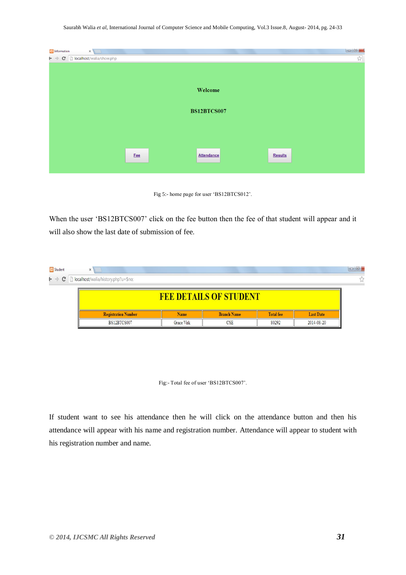Saurabh Walia *et al*, International Journal of Computer Science and Mobile Computing, Vol.3 Issue.8, August- 2014, pg. 24-33

| 83 Information<br>$\times$                                                           |     |                    | $\begin{array}{c c c c c c} \hline \textbf{L} & \textbf{L} & \textbf{L} \\ \hline \textbf{L} & \textbf{L} & \textbf{L} \\ \hline \textbf{L} & \textbf{L} & \textbf{L} \\ \hline \textbf{L} & \textbf{L} & \textbf{L} \\ \hline \textbf{L} & \textbf{L} & \textbf{L} \\ \hline \textbf{L} & \textbf{L} & \textbf{L} \\ \hline \textbf{L} & \textbf{L} & \textbf{L} \\ \hline \textbf{L} & \textbf{L} & \textbf{L} \\ \hline \textbf{L} & \$ |
|--------------------------------------------------------------------------------------|-----|--------------------|--------------------------------------------------------------------------------------------------------------------------------------------------------------------------------------------------------------------------------------------------------------------------------------------------------------------------------------------------------------------------------------------------------------------------------------------|
| $\vdash \ \Rightarrow \ \mathbf{C} \ \ \lbrack \ \ \rbrack$ localhost/walia/show.php |     |                    | $\lesssim$                                                                                                                                                                                                                                                                                                                                                                                                                                 |
|                                                                                      |     |                    |                                                                                                                                                                                                                                                                                                                                                                                                                                            |
|                                                                                      |     |                    |                                                                                                                                                                                                                                                                                                                                                                                                                                            |
|                                                                                      |     |                    |                                                                                                                                                                                                                                                                                                                                                                                                                                            |
|                                                                                      |     | Welcome            |                                                                                                                                                                                                                                                                                                                                                                                                                                            |
|                                                                                      |     |                    |                                                                                                                                                                                                                                                                                                                                                                                                                                            |
|                                                                                      |     |                    |                                                                                                                                                                                                                                                                                                                                                                                                                                            |
|                                                                                      |     | <b>BS12BTCS007</b> |                                                                                                                                                                                                                                                                                                                                                                                                                                            |
|                                                                                      |     |                    |                                                                                                                                                                                                                                                                                                                                                                                                                                            |
|                                                                                      |     |                    |                                                                                                                                                                                                                                                                                                                                                                                                                                            |
|                                                                                      |     |                    |                                                                                                                                                                                                                                                                                                                                                                                                                                            |
|                                                                                      |     |                    |                                                                                                                                                                                                                                                                                                                                                                                                                                            |
|                                                                                      | Fee | Attendance         | <b>Results</b>                                                                                                                                                                                                                                                                                                                                                                                                                             |
|                                                                                      |     |                    |                                                                                                                                                                                                                                                                                                                                                                                                                                            |
|                                                                                      |     |                    |                                                                                                                                                                                                                                                                                                                                                                                                                                            |

Fig 5:- home page for user 'BS12BTCS012'.

When the user 'BS12BTCS007' click on the fee button then the fee of that student will appear and it will also show the last date of submission of fee.

| 8 Student                     | X                                   |            |                    |                  |                  | $\Box$ 0 |  |  |
|-------------------------------|-------------------------------------|------------|--------------------|------------------|------------------|----------|--|--|
| $r \rightarrow G$             | hocalhost/walia/history.php?u=\$no; |            |                    |                  |                  |          |  |  |
| <b>FEE DETAILS OF STUDENT</b> |                                     |            |                    |                  |                  |          |  |  |
|                               | <b>Registration Number</b>          | Name       | <b>Branch Name</b> | <b>Total fee</b> | <b>Last Date</b> |          |  |  |
|                               | BS12BTCS007                         | Grace Virk | <b>CSE</b>         | 80292            | 2014-08-20       |          |  |  |

Fig:- Total fee of user 'BS12BTCS007'.

If student want to see his attendance then he will click on the attendance button and then his attendance will appear with his name and registration number. Attendance will appear to student with his registration number and name.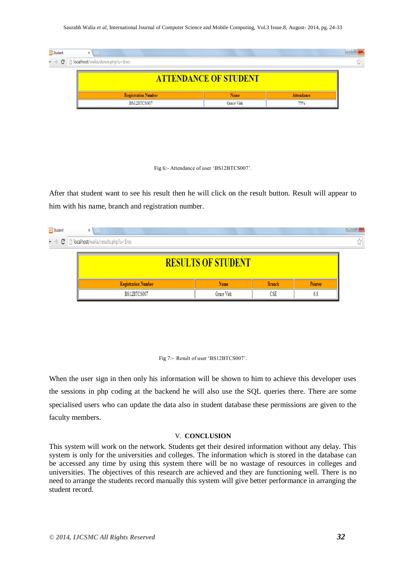Saurabh Walia *et al*, International Journal of Computer Science and Mobile Computing, Vol.3 Issue.8, August- 2014, pg. 24-33

| Student                                                              | ×                          |            |                   |  |  |  |  |
|----------------------------------------------------------------------|----------------------------|------------|-------------------|--|--|--|--|
| $\bullet \rightarrow \mathbf{C}$   localhost/walia/dance.php?u=\$no; |                            |            |                   |  |  |  |  |
| <b>ATTENDANCE OF STUDENT</b>                                         |                            |            |                   |  |  |  |  |
|                                                                      | <b>Registration Number</b> | Name       | <b>Attendance</b> |  |  |  |  |
|                                                                      | BS12BTCS007                | Grace Virk | 75%               |  |  |  |  |

Fig 6:- Attendance of user 'BS12BTCS007'.

After that student want to see his result then he will click on the result button. Result will appear to him with his name, branch and registration number.

| 83 Student                                                         | x                          |            |               |         | $\Box$ |  |  |  |
|--------------------------------------------------------------------|----------------------------|------------|---------------|---------|--------|--|--|--|
| $\vdash \rightarrow C \ \vert$ localhost/walia/results.php?u=\$no; |                            |            |               |         |        |  |  |  |
| <b>RESULTS OF STUDENT</b>                                          |                            |            |               |         |        |  |  |  |
|                                                                    | <b>Registration Number</b> | Name       | <b>Branch</b> | Pointer |        |  |  |  |
|                                                                    | BS12BTCS007                | Grace Virk | CSE           | 6.8     |        |  |  |  |



When the user sign in then only his information will be shown to him to achieve this developer uses the sessions in php coding at the backend he will also use the SQL queries there. There are some specialised users who can update the data also in student database these permissions are given to the faculty members.

#### V. **CONCLUSION**

This system will work on the network. Students get their desired information without any delay. This system is only for the universities and colleges. The information which is stored in the database can be accessed any time by using this system there will be no wastage of resources in colleges and universities. The objectives of this research are achieved and they are functioning well. There is no need to arrange the students record manually this system will give better performance in arranging the student record.